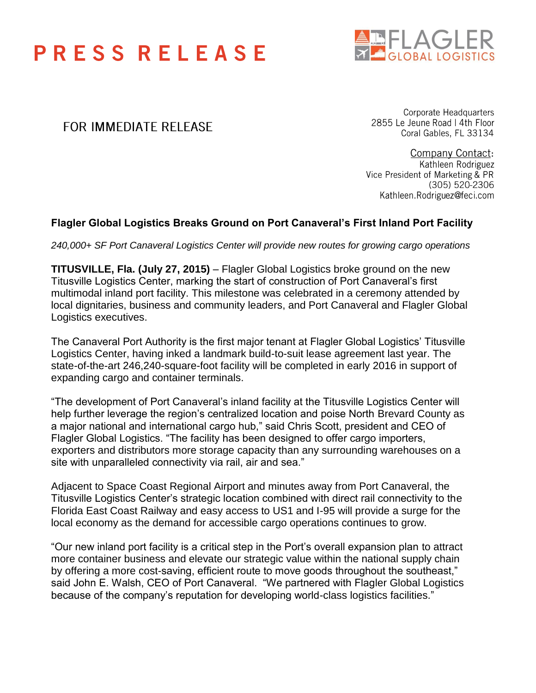## **PRESS RELEASE**



### FOR IMMEDIATE RELEASE

Corporate Headquarters 2855 Le Jeune Road | 4th Floor Coral Gables, FL 33134

**Company Contact:** Kathleen Rodriguez Vice President of Marketing & PR (305) 520-2306 Kathleen.Rodriguez@feci.com

### **Flagler Global Logistics Breaks Ground on Port Canaveral's First Inland Port Facility**

*240,000+ SF Port Canaveral Logistics Center will provide new routes for growing cargo operations*

**TITUSVILLE, Fla. (July 27, 2015)** – Flagler Global Logistics broke ground on the new Titusville Logistics Center, marking the start of construction of Port Canaveral's first multimodal inland port facility. This milestone was celebrated in a ceremony attended by local dignitaries, business and community leaders, and Port Canaveral and Flagler Global Logistics executives.

The Canaveral Port Authority is the first major tenant at Flagler Global Logistics' Titusville Logistics Center, having inked a landmark build-to-suit lease agreement last year. The state-of-the-art 246,240-square-foot facility will be completed in early 2016 in support of expanding cargo and container terminals.

"The development of Port Canaveral's inland facility at the Titusville Logistics Center will help further leverage the region's centralized location and poise North Brevard County as a major national and international cargo hub," said Chris Scott, president and CEO of Flagler Global Logistics. "The facility has been designed to offer cargo importers, exporters and distributors more storage capacity than any surrounding warehouses on a site with unparalleled connectivity via rail, air and sea."

Adjacent to Space Coast Regional Airport and minutes away from Port Canaveral, the Titusville Logistics Center's strategic location combined with direct rail connectivity to the Florida East Coast Railway and easy access to US1 and I-95 will provide a surge for the local economy as the demand for accessible cargo operations continues to grow.

"Our new inland port facility is a critical step in the Port's overall expansion plan to attract more container business and elevate our strategic value within the national supply chain by offering a more cost-saving, efficient route to move goods throughout the southeast," said John E. Walsh, CEO of Port Canaveral. "We partnered with Flagler Global Logistics because of the company's reputation for developing world-class logistics facilities."